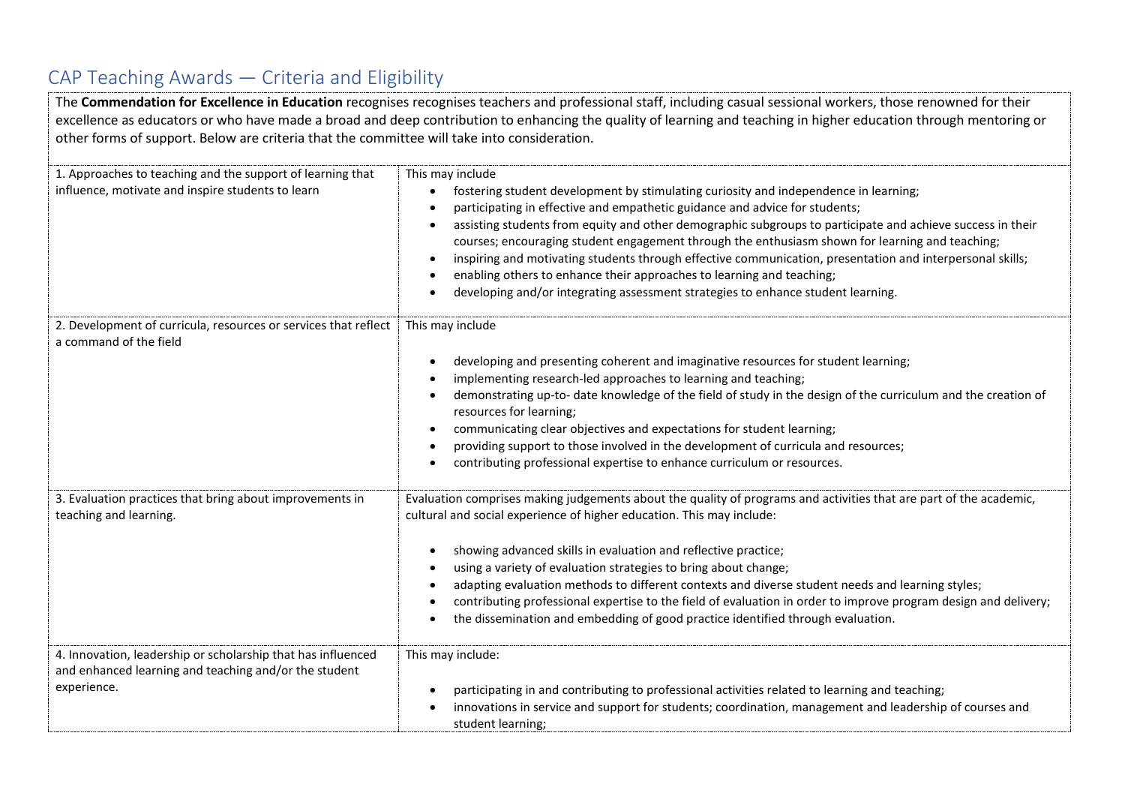## CAP Teaching Awards — Criteria and Eligibility

The **Commendation for Excellence in Education** recognises recognises teachers and professional staff, including casual sessional workers, those renowned for their excellence as educators or who have made a broad and deep contribution to enhancing the quality of learning and teaching in higher education through mentoring or other forms of support. Below are criteria that the committee will take into consideration.

| 1. Approaches to teaching and the support of learning that<br>influence, motivate and inspire students to learn                      | This may include<br>fostering student development by stimulating curiosity and independence in learning;<br>participating in effective and empathetic guidance and advice for students;<br>assisting students from equity and other demographic subgroups to participate and achieve success in their<br>courses; encouraging student engagement through the enthusiasm shown for learning and teaching;<br>inspiring and motivating students through effective communication, presentation and interpersonal skills;<br>enabling others to enhance their approaches to learning and teaching;<br>developing and/or integrating assessment strategies to enhance student learning. |
|--------------------------------------------------------------------------------------------------------------------------------------|------------------------------------------------------------------------------------------------------------------------------------------------------------------------------------------------------------------------------------------------------------------------------------------------------------------------------------------------------------------------------------------------------------------------------------------------------------------------------------------------------------------------------------------------------------------------------------------------------------------------------------------------------------------------------------|
| 2. Development of curricula, resources or services that reflect<br>a command of the field                                            | This may include<br>developing and presenting coherent and imaginative resources for student learning;<br>implementing research-led approaches to learning and teaching;<br>demonstrating up-to- date knowledge of the field of study in the design of the curriculum and the creation of<br>resources for learning;<br>communicating clear objectives and expectations for student learning;<br>providing support to those involved in the development of curricula and resources;<br>contributing professional expertise to enhance curriculum or resources.                                                                                                                     |
| 3. Evaluation practices that bring about improvements in<br>teaching and learning.                                                   | Evaluation comprises making judgements about the quality of programs and activities that are part of the academic,<br>cultural and social experience of higher education. This may include:<br>showing advanced skills in evaluation and reflective practice;<br>using a variety of evaluation strategies to bring about change;<br>adapting evaluation methods to different contexts and diverse student needs and learning styles;<br>contributing professional expertise to the field of evaluation in order to improve program design and delivery;<br>the dissemination and embedding of good practice identified through evaluation.                                         |
| 4. Innovation, leadership or scholarship that has influenced<br>and enhanced learning and teaching and/or the student<br>experience. | This may include:<br>participating in and contributing to professional activities related to learning and teaching;<br>innovations in service and support for students; coordination, management and leadership of courses and<br>student learning;                                                                                                                                                                                                                                                                                                                                                                                                                                |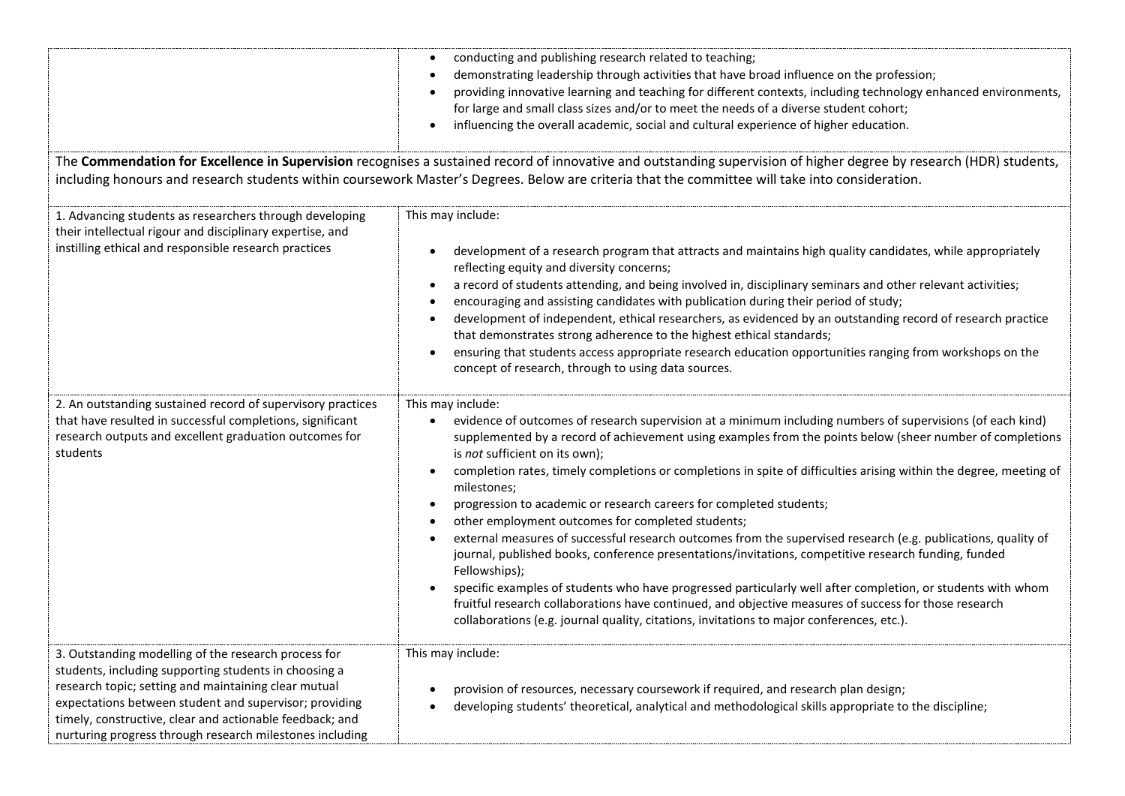|                                                                                                                                                                                                                                                                                                                                                         | conducting and publishing research related to teaching;<br>demonstrating leadership through activities that have broad influence on the profession;<br>providing innovative learning and teaching for different contexts, including technology enhanced environments,<br>for large and small class sizes and/or to meet the needs of a diverse student cohort;<br>influencing the overall academic, social and cultural experience of higher education.                                                                                                                                                                                                                                                                                                                                                                                                                                                                                                                                                                                                                                                                                  |  |
|---------------------------------------------------------------------------------------------------------------------------------------------------------------------------------------------------------------------------------------------------------------------------------------------------------------------------------------------------------|------------------------------------------------------------------------------------------------------------------------------------------------------------------------------------------------------------------------------------------------------------------------------------------------------------------------------------------------------------------------------------------------------------------------------------------------------------------------------------------------------------------------------------------------------------------------------------------------------------------------------------------------------------------------------------------------------------------------------------------------------------------------------------------------------------------------------------------------------------------------------------------------------------------------------------------------------------------------------------------------------------------------------------------------------------------------------------------------------------------------------------------|--|
| The Commendation for Excellence in Supervision recognises a sustained record of innovative and outstanding supervision of higher degree by research (HDR) students,<br>including honours and research students within coursework Master's Degrees. Below are criteria that the committee will take into consideration.                                  |                                                                                                                                                                                                                                                                                                                                                                                                                                                                                                                                                                                                                                                                                                                                                                                                                                                                                                                                                                                                                                                                                                                                          |  |
| 1. Advancing students as researchers through developing<br>their intellectual rigour and disciplinary expertise, and<br>instilling ethical and responsible research practices                                                                                                                                                                           | This may include:<br>development of a research program that attracts and maintains high quality candidates, while appropriately<br>reflecting equity and diversity concerns;<br>a record of students attending, and being involved in, disciplinary seminars and other relevant activities;<br>encouraging and assisting candidates with publication during their period of study;<br>development of independent, ethical researchers, as evidenced by an outstanding record of research practice<br>that demonstrates strong adherence to the highest ethical standards;<br>ensuring that students access appropriate research education opportunities ranging from workshops on the<br>concept of research, through to using data sources.                                                                                                                                                                                                                                                                                                                                                                                             |  |
| 2. An outstanding sustained record of supervisory practices<br>that have resulted in successful completions, significant<br>research outputs and excellent graduation outcomes for<br>students                                                                                                                                                          | This may include:<br>evidence of outcomes of research supervision at a minimum including numbers of supervisions (of each kind)<br>$\bullet$<br>supplemented by a record of achievement using examples from the points below (sheer number of completions<br>is not sufficient on its own);<br>completion rates, timely completions or completions in spite of difficulties arising within the degree, meeting of<br>$\bullet$<br>milestones;<br>progression to academic or research careers for completed students;<br>other employment outcomes for completed students;<br>external measures of successful research outcomes from the supervised research (e.g. publications, quality of<br>journal, published books, conference presentations/invitations, competitive research funding, funded<br>Fellowships);<br>specific examples of students who have progressed particularly well after completion, or students with whom<br>fruitful research collaborations have continued, and objective measures of success for those research<br>collaborations (e.g. journal quality, citations, invitations to major conferences, etc.). |  |
| 3. Outstanding modelling of the research process for<br>students, including supporting students in choosing a<br>research topic; setting and maintaining clear mutual<br>expectations between student and supervisor; providing<br>timely, constructive, clear and actionable feedback; and<br>nurturing progress through research milestones including | This may include:<br>provision of resources, necessary coursework if required, and research plan design;<br>developing students' theoretical, analytical and methodological skills appropriate to the discipline;                                                                                                                                                                                                                                                                                                                                                                                                                                                                                                                                                                                                                                                                                                                                                                                                                                                                                                                        |  |